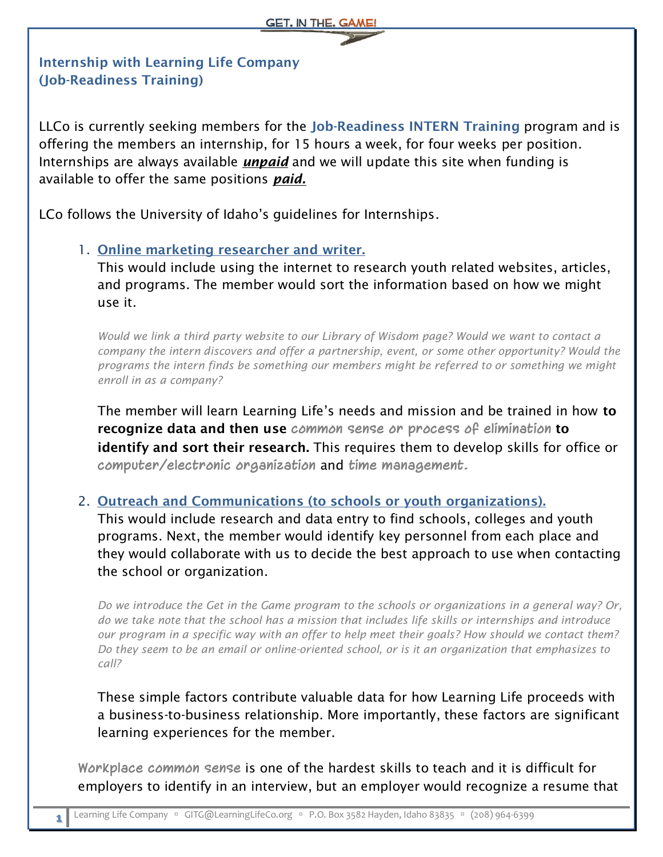## **Internship with Learning Life Company (Job-Readiness Training)**

LLCo is currently seeking members for the **Job-Readiness INTERN Training** program and is offering the members an internship, for 15 hours a week, for four weeks per position. Internships are always available *unpaid* and we will update this site when funding is available to offer the same positions *paid.*

LCo follows the University of Idaho's guidelines for Internships.

## 1. **Online marketing researcher and writer.**

This would include using the internet to research youth related websites, articles, and programs. The member would sort the information based on how we might use it.

*Would we link a third party website to our Library of Wisdom page? Would we want to contact a company the intern discovers and offer a partnership, event, or some other opportunity? Would the programs the intern finds be something our members might be referred to or something we might enroll in as a company?*

The member will learn Learning Life's needs and mission and be trained in how **to recognize data and then use common sense or process of elimination to identify and sort their research.** This requires them to develop skills for office or **computer/electronic organization** and **time management.**

## 2. **Outreach and Communications (to schools or youth organizations).**

This would include research and data entry to find schools, colleges and youth programs. Next, the member would identify key personnel from each place and they would collaborate with us to decide the best approach to use when contacting the school or organization.

*Do we introduce the Get in the Game program to the schools or organizations in a general way? Or, do we take note that the school has a mission that includes life skills or internships and introduce our program in a specific way with an offer to help meet their goals? How should we contact them? Do they seem to be an email or online-oriented school, or is it an organization that emphasizes to call?*

These simple factors contribute valuable data for how Learning Life proceeds with a business-to-business relationship. More importantly, these factors are significant learning experiences for the member.

**Workplace common sense** is one of the hardest skills to teach and it is difficult for employers to identify in an interview, but an employer would recognize a resume that

**1**